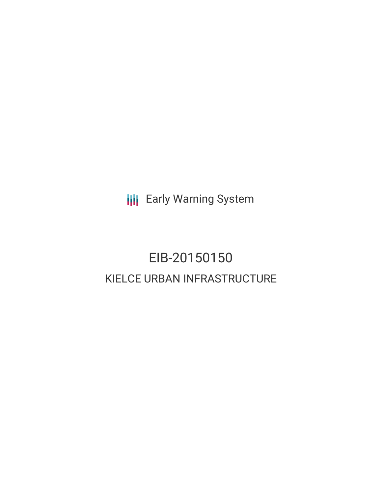**III** Early Warning System

# EIB-20150150 KIELCE URBAN INFRASTRUCTURE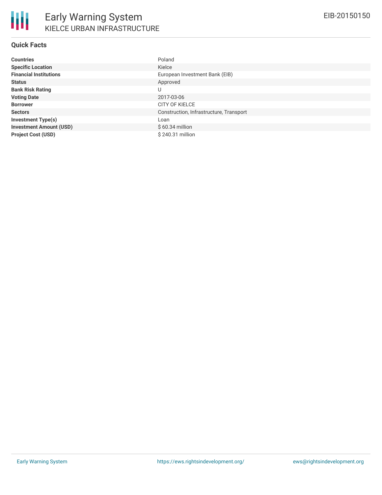## **Quick Facts**

| <b>Countries</b>               | Poland                                  |
|--------------------------------|-----------------------------------------|
| <b>Specific Location</b>       | Kielce                                  |
| <b>Financial Institutions</b>  | European Investment Bank (EIB)          |
| <b>Status</b>                  | Approved                                |
| <b>Bank Risk Rating</b>        | U                                       |
| <b>Voting Date</b>             | 2017-03-06                              |
| <b>Borrower</b>                | <b>CITY OF KIELCE</b>                   |
| <b>Sectors</b>                 | Construction, Infrastructure, Transport |
| <b>Investment Type(s)</b>      | Loan                                    |
| <b>Investment Amount (USD)</b> | $$60.34$ million                        |
| <b>Project Cost (USD)</b>      | \$240.31 million                        |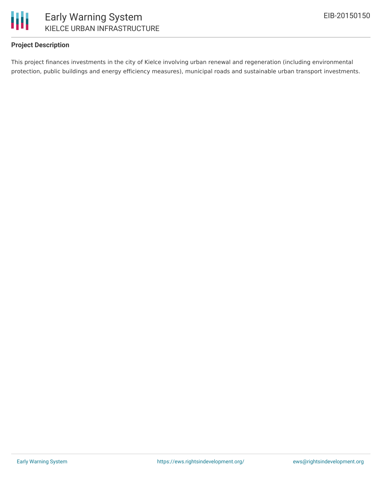

## **Project Description**

This project finances investments in the city of Kielce involving urban renewal and regeneration (including environmental protection, public buildings and energy efficiency measures), municipal roads and sustainable urban transport investments.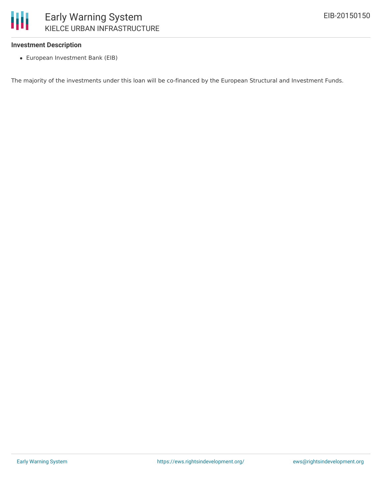

### **Investment Description**

European Investment Bank (EIB)

The majority of the investments under this loan will be co-financed by the European Structural and Investment Funds.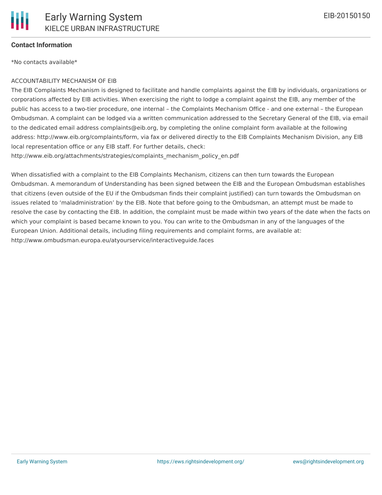### **Contact Information**

\*No contacts available\*

#### ACCOUNTABILITY MECHANISM OF EIB

The EIB Complaints Mechanism is designed to facilitate and handle complaints against the EIB by individuals, organizations or corporations affected by EIB activities. When exercising the right to lodge a complaint against the EIB, any member of the public has access to a two-tier procedure, one internal – the Complaints Mechanism Office - and one external – the European Ombudsman. A complaint can be lodged via a written communication addressed to the Secretary General of the EIB, via email to the dedicated email address complaints@eib.org, by completing the online complaint form available at the following address: http://www.eib.org/complaints/form, via fax or delivered directly to the EIB Complaints Mechanism Division, any EIB local representation office or any EIB staff. For further details, check:

http://www.eib.org/attachments/strategies/complaints\_mechanism\_policy\_en.pdf

When dissatisfied with a complaint to the EIB Complaints Mechanism, citizens can then turn towards the European Ombudsman. A memorandum of Understanding has been signed between the EIB and the European Ombudsman establishes that citizens (even outside of the EU if the Ombudsman finds their complaint justified) can turn towards the Ombudsman on issues related to 'maladministration' by the EIB. Note that before going to the Ombudsman, an attempt must be made to resolve the case by contacting the EIB. In addition, the complaint must be made within two years of the date when the facts on which your complaint is based became known to you. You can write to the Ombudsman in any of the languages of the European Union. Additional details, including filing requirements and complaint forms, are available at: http://www.ombudsman.europa.eu/atyourservice/interactiveguide.faces